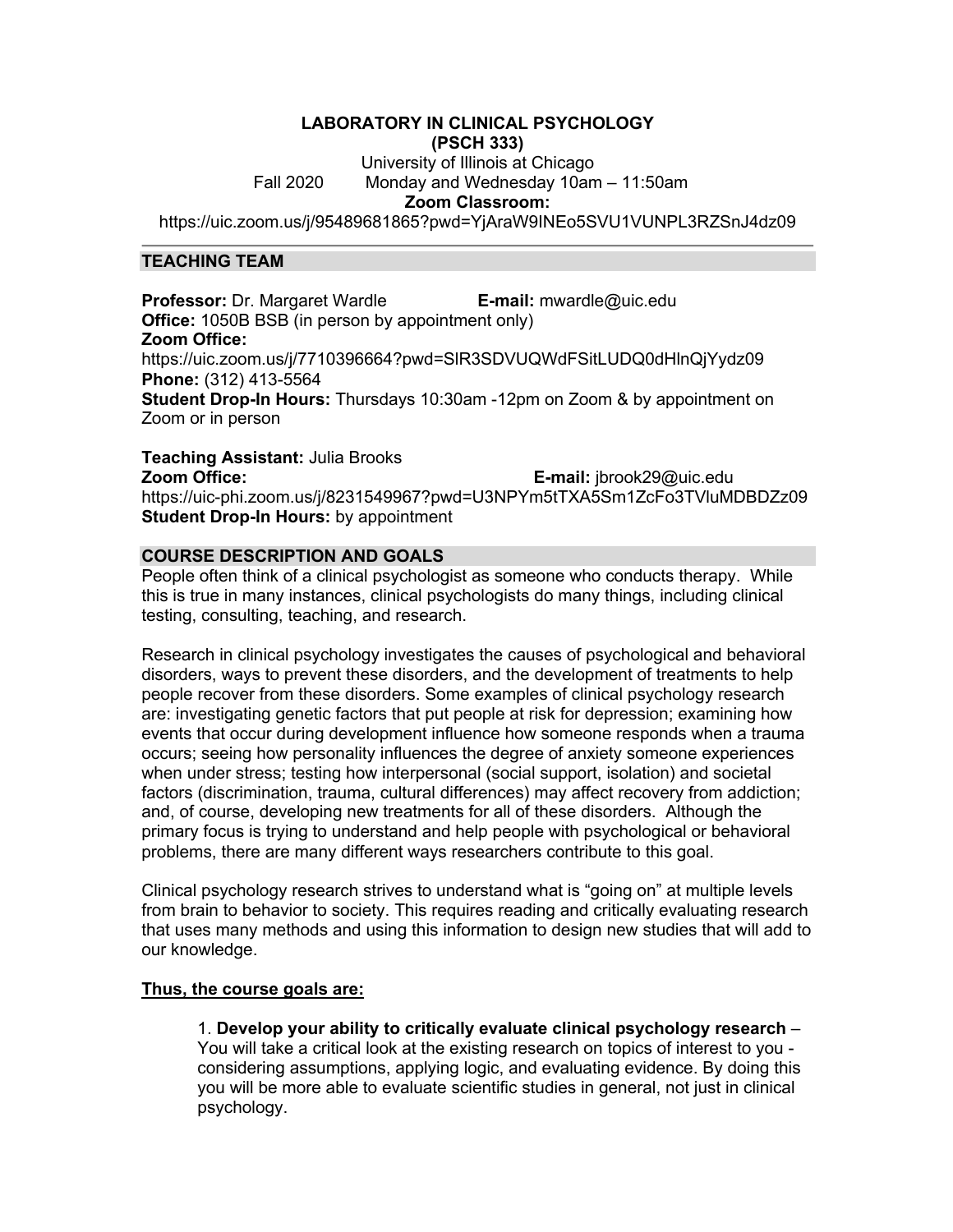# **LABORATORY IN CLINICAL PSYCHOLOGY (PSCH 333)** University of Illinois at Chicago Fall 2020 Monday and Wednesday 10am – 11:50am **Zoom Classroom:** https://uic.zoom.us/j/95489681865?pwd=YjAraW9INEo5SVU1VUNPL3RZSnJ4dz09

# **TEACHING TEAM**

**Professor:** Dr. Margaret Wardle **E-mail:** mwardle@uic.edu **Office:** 1050B BSB (in person by appointment only) **Zoom Office:** https://uic.zoom.us/j/7710396664?pwd=SlR3SDVUQWdFSitLUDQ0dHlnQjYydz09 **Phone:** (312) 413-5564 **Student Drop-In Hours:** Thursdays 10:30am -12pm on Zoom & by appointment on Zoom or in person

**Teaching Assistant:** Julia Brooks **Zoom Office: E-mail:** jbrook29@uic.edu https://uic-phi.zoom.us/j/8231549967?pwd=U3NPYm5tTXA5Sm1ZcFo3TVluMDBDZz09 **Student Drop-In Hours:** by appointment

# **COURSE DESCRIPTION AND GOALS**

People often think of a clinical psychologist as someone who conducts therapy. While this is true in many instances, clinical psychologists do many things, including clinical testing, consulting, teaching, and research.

Research in clinical psychology investigates the causes of psychological and behavioral disorders, ways to prevent these disorders, and the development of treatments to help people recover from these disorders. Some examples of clinical psychology research are: investigating genetic factors that put people at risk for depression; examining how events that occur during development influence how someone responds when a trauma occurs; seeing how personality influences the degree of anxiety someone experiences when under stress; testing how interpersonal (social support, isolation) and societal factors (discrimination, trauma, cultural differences) may affect recovery from addiction; and, of course, developing new treatments for all of these disorders. Although the primary focus is trying to understand and help people with psychological or behavioral problems, there are many different ways researchers contribute to this goal.

Clinical psychology research strives to understand what is "going on" at multiple levels from brain to behavior to society. This requires reading and critically evaluating research that uses many methods and using this information to design new studies that will add to our knowledge.

## **Thus, the course goals are:**

1. **Develop your ability to critically evaluate clinical psychology research** – You will take a critical look at the existing research on topics of interest to you considering assumptions, applying logic, and evaluating evidence. By doing this you will be more able to evaluate scientific studies in general, not just in clinical psychology.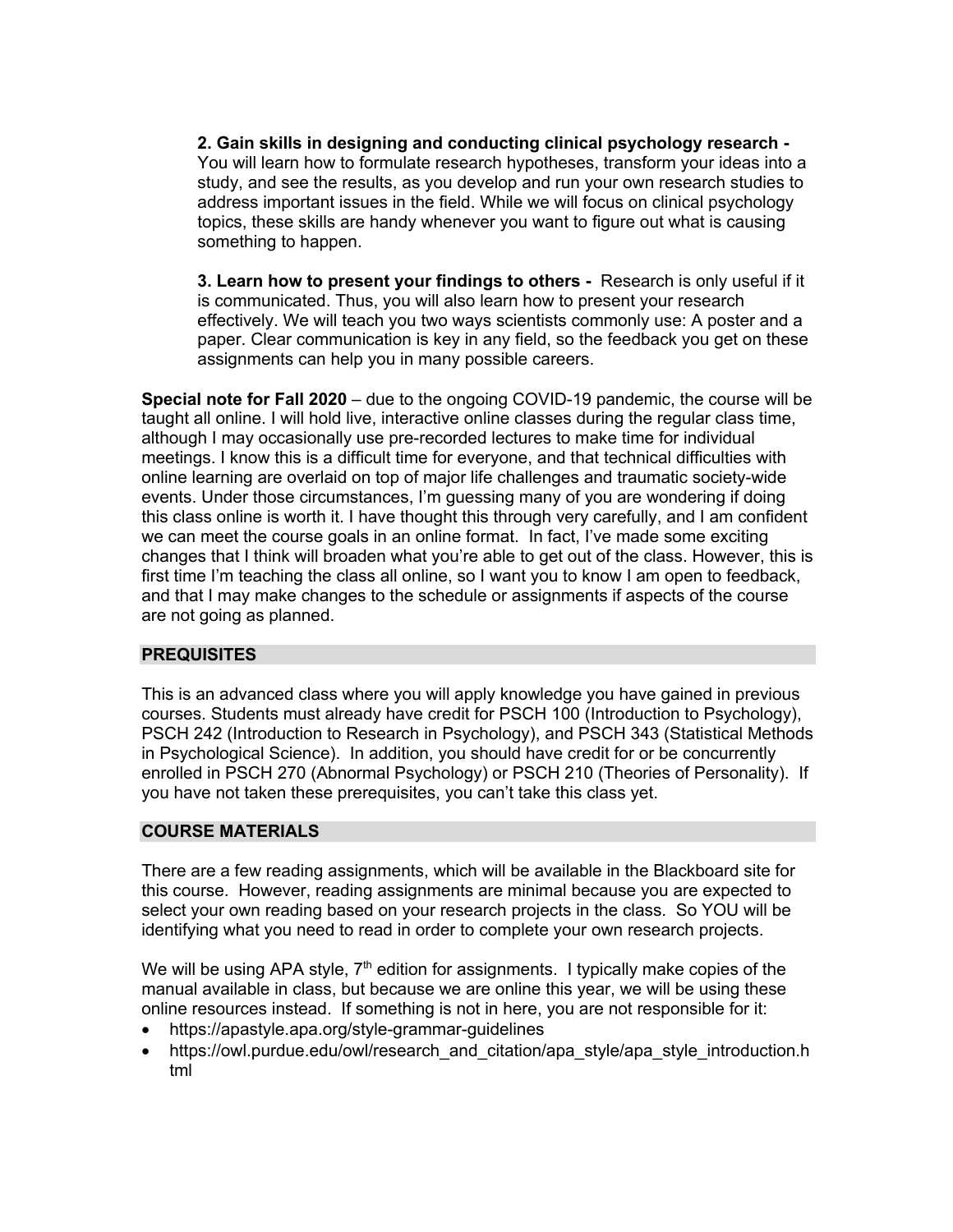**2. Gain skills in designing and conducting clinical psychology research -** You will learn how to formulate research hypotheses, transform your ideas into a study, and see the results, as you develop and run your own research studies to address important issues in the field. While we will focus on clinical psychology topics, these skills are handy whenever you want to figure out what is causing something to happen.

**3. Learn how to present your findings to others -** Research is only useful if it is communicated. Thus, you will also learn how to present your research effectively. We will teach you two ways scientists commonly use: A poster and a paper. Clear communication is key in any field, so the feedback you get on these assignments can help you in many possible careers.

**Special note for Fall 2020** – due to the ongoing COVID-19 pandemic, the course will be taught all online. I will hold live, interactive online classes during the regular class time, although I may occasionally use pre-recorded lectures to make time for individual meetings. I know this is a difficult time for everyone, and that technical difficulties with online learning are overlaid on top of major life challenges and traumatic society-wide events. Under those circumstances, I'm guessing many of you are wondering if doing this class online is worth it. I have thought this through very carefully, and I am confident we can meet the course goals in an online format. In fact, I've made some exciting changes that I think will broaden what you're able to get out of the class. However, this is first time I'm teaching the class all online, so I want you to know I am open to feedback, and that I may make changes to the schedule or assignments if aspects of the course are not going as planned.

## **PREQUISITES**

This is an advanced class where you will apply knowledge you have gained in previous courses. Students must already have credit for PSCH 100 (Introduction to Psychology), PSCH 242 (Introduction to Research in Psychology), and PSCH 343 (Statistical Methods in Psychological Science). In addition, you should have credit for or be concurrently enrolled in PSCH 270 (Abnormal Psychology) or PSCH 210 (Theories of Personality). If you have not taken these prerequisites, you can't take this class yet.

## **COURSE MATERIALS**

There are a few reading assignments, which will be available in the Blackboard site for this course. However, reading assignments are minimal because you are expected to select your own reading based on your research projects in the class. So YOU will be identifying what you need to read in order to complete your own research projects.

We will be using APA style,  $7<sup>th</sup>$  edition for assignments. I typically make copies of the manual available in class, but because we are online this year, we will be using these online resources instead. If something is not in here, you are not responsible for it:

- https://apastyle.apa.org/style-grammar-guidelines
- https://owl.purdue.edu/owl/research\_and\_citation/apa\_style/apa\_style\_introduction.h tml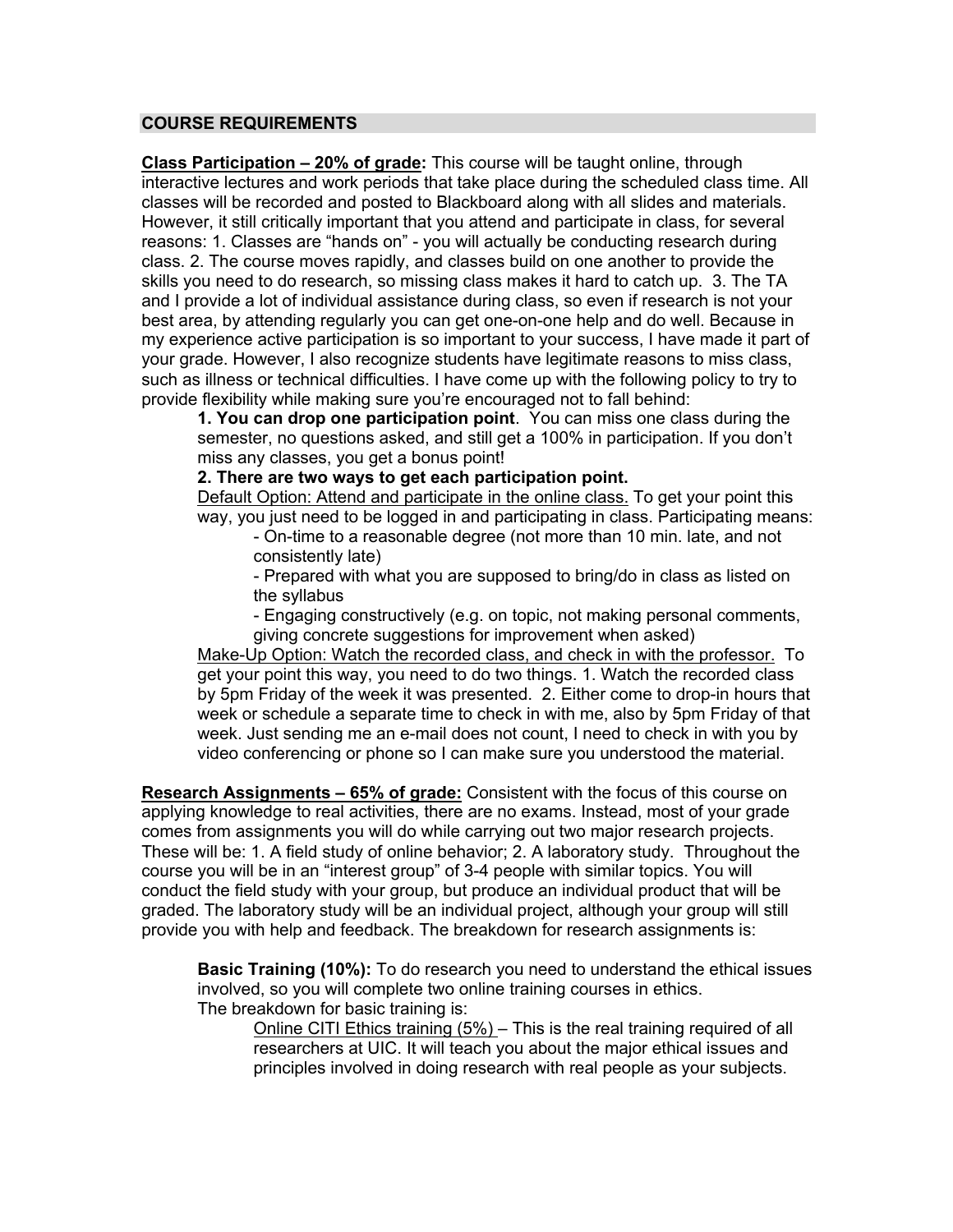# **COURSE REQUIREMENTS**

**Class Participation – 20% of grade:** This course will be taught online, through interactive lectures and work periods that take place during the scheduled class time. All classes will be recorded and posted to Blackboard along with all slides and materials. However, it still critically important that you attend and participate in class, for several reasons: 1. Classes are "hands on" - you will actually be conducting research during class. 2. The course moves rapidly, and classes build on one another to provide the skills you need to do research, so missing class makes it hard to catch up. 3. The TA and I provide a lot of individual assistance during class, so even if research is not your best area, by attending regularly you can get one-on-one help and do well. Because in my experience active participation is so important to your success, I have made it part of your grade. However, I also recognize students have legitimate reasons to miss class, such as illness or technical difficulties. I have come up with the following policy to try to provide flexibility while making sure you're encouraged not to fall behind:

**1. You can drop one participation point**. You can miss one class during the semester, no questions asked, and still get a 100% in participation. If you don't miss any classes, you get a bonus point!

**2. There are two ways to get each participation point.**

Default Option: Attend and participate in the online class. To get your point this way, you just need to be logged in and participating in class. Participating means:

- On-time to a reasonable degree (not more than 10 min. late, and not consistently late)

- Prepared with what you are supposed to bring/do in class as listed on the syllabus

- Engaging constructively (e.g. on topic, not making personal comments, giving concrete suggestions for improvement when asked)

Make-Up Option: Watch the recorded class, and check in with the professor. To get your point this way, you need to do two things. 1. Watch the recorded class by 5pm Friday of the week it was presented. 2. Either come to drop-in hours that week or schedule a separate time to check in with me, also by 5pm Friday of that week. Just sending me an e-mail does not count, I need to check in with you by video conferencing or phone so I can make sure you understood the material.

**Research Assignments – 65% of grade:** Consistent with the focus of this course on applying knowledge to real activities, there are no exams. Instead, most of your grade comes from assignments you will do while carrying out two major research projects. These will be: 1. A field study of online behavior; 2. A laboratory study. Throughout the course you will be in an "interest group" of 3-4 people with similar topics. You will conduct the field study with your group, but produce an individual product that will be graded. The laboratory study will be an individual project, although your group will still provide you with help and feedback. The breakdown for research assignments is:

**Basic Training (10%):** To do research you need to understand the ethical issues involved, so you will complete two online training courses in ethics. The breakdown for basic training is:

Online CITI Ethics training (5%) – This is the real training required of all researchers at UIC. It will teach you about the major ethical issues and principles involved in doing research with real people as your subjects.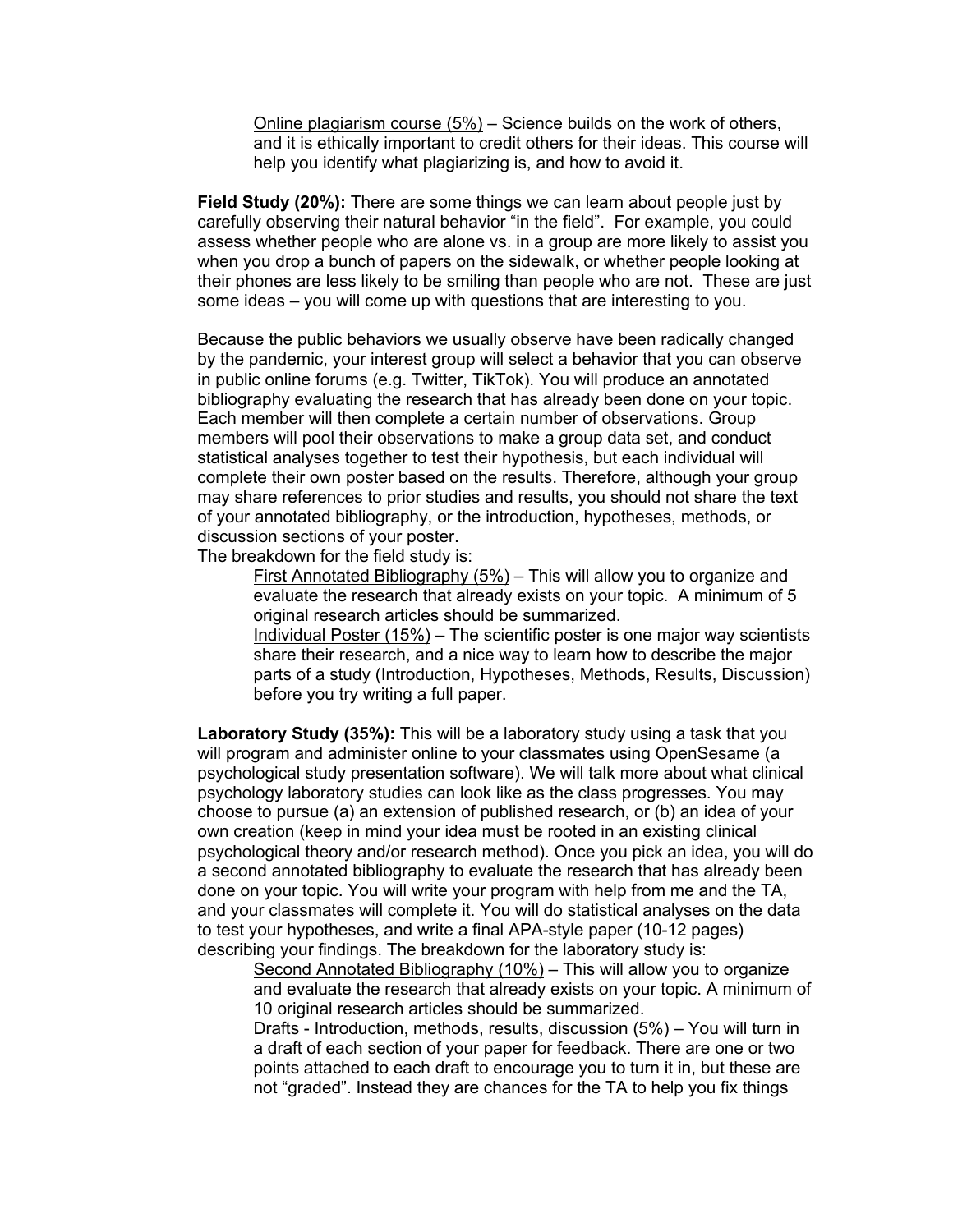Online plagiarism course  $(5%)$  – Science builds on the work of others, and it is ethically important to credit others for their ideas. This course will help you identify what plagiarizing is, and how to avoid it.

**Field Study (20%):** There are some things we can learn about people just by carefully observing their natural behavior "in the field". For example, you could assess whether people who are alone vs. in a group are more likely to assist you when you drop a bunch of papers on the sidewalk, or whether people looking at their phones are less likely to be smiling than people who are not. These are just some ideas – you will come up with questions that are interesting to you.

Because the public behaviors we usually observe have been radically changed by the pandemic, your interest group will select a behavior that you can observe in public online forums (e.g. Twitter, TikTok). You will produce an annotated bibliography evaluating the research that has already been done on your topic. Each member will then complete a certain number of observations. Group members will pool their observations to make a group data set, and conduct statistical analyses together to test their hypothesis, but each individual will complete their own poster based on the results. Therefore, although your group may share references to prior studies and results, you should not share the text of your annotated bibliography, or the introduction, hypotheses, methods, or discussion sections of your poster.

The breakdown for the field study is:

First Annotated Bibliography (5%) – This will allow you to organize and evaluate the research that already exists on your topic. A minimum of 5 original research articles should be summarized.

Individual Poster (15%) – The scientific poster is one major way scientists share their research, and a nice way to learn how to describe the major parts of a study (Introduction, Hypotheses, Methods, Results, Discussion) before you try writing a full paper.

**Laboratory Study (35%):** This will be a laboratory study using a task that you will program and administer online to your classmates using OpenSesame (a psychological study presentation software). We will talk more about what clinical psychology laboratory studies can look like as the class progresses. You may choose to pursue (a) an extension of published research, or (b) an idea of your own creation (keep in mind your idea must be rooted in an existing clinical psychological theory and/or research method). Once you pick an idea, you will do a second annotated bibliography to evaluate the research that has already been done on your topic. You will write your program with help from me and the TA, and your classmates will complete it. You will do statistical analyses on the data to test your hypotheses, and write a final APA-style paper (10-12 pages) describing your findings. The breakdown for the laboratory study is:

Second Annotated Bibliography (10%) – This will allow you to organize and evaluate the research that already exists on your topic. A minimum of 10 original research articles should be summarized.

Drafts - Introduction, methods, results, discussion (5%) – You will turn in a draft of each section of your paper for feedback. There are one or two points attached to each draft to encourage you to turn it in, but these are not "graded". Instead they are chances for the TA to help you fix things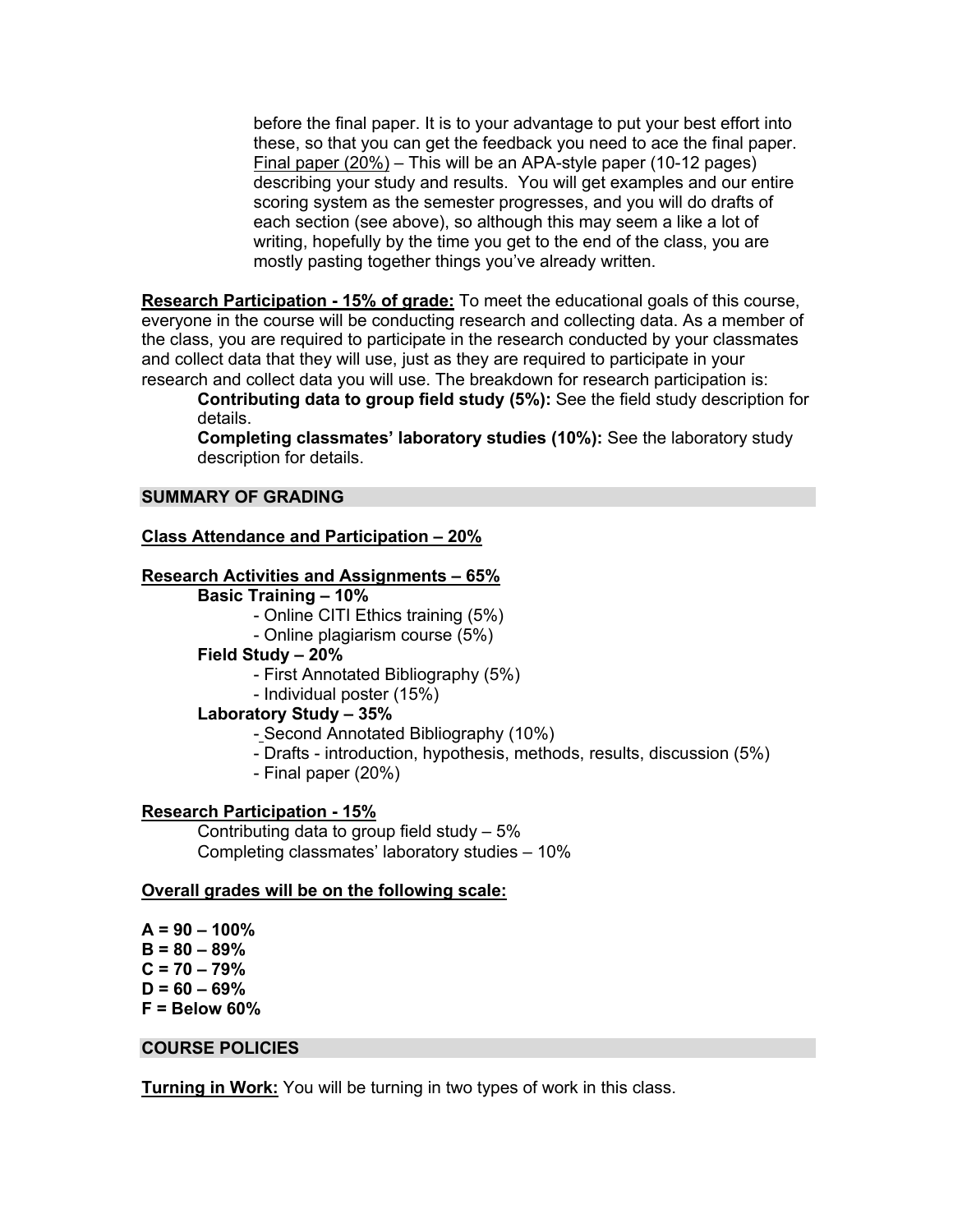before the final paper. It is to your advantage to put your best effort into these, so that you can get the feedback you need to ace the final paper. Final paper (20%) – This will be an APA-style paper (10-12 pages) describing your study and results. You will get examples and our entire scoring system as the semester progresses, and you will do drafts of each section (see above), so although this may seem a like a lot of writing, hopefully by the time you get to the end of the class, you are mostly pasting together things you've already written.

**Research Participation - 15% of grade:** To meet the educational goals of this course, everyone in the course will be conducting research and collecting data. As a member of the class, you are required to participate in the research conducted by your classmates and collect data that they will use, just as they are required to participate in your research and collect data you will use. The breakdown for research participation is:

**Contributing data to group field study (5%):** See the field study description for details.

**Completing classmates' laboratory studies (10%):** See the laboratory study description for details.

## **SUMMARY OF GRADING**

#### **Class Attendance and Participation – 20%**

#### **Research Activities and Assignments – 65%**

#### **Basic Training – 10%**

- Online CITI Ethics training (5%)
- Online plagiarism course (5%)

#### **Field Study – 20%**

- First Annotated Bibliography (5%)
- Individual poster (15%)

## **Laboratory Study – 35%**

- Second Annotated Bibliography (10%)
- Drafts introduction, hypothesis, methods, results, discussion (5%)
- Final paper (20%)

#### **Research Participation - 15%**

Contributing data to group field study – 5% Completing classmates' laboratory studies – 10%

#### **Overall grades will be on the following scale:**

**A = 90 – 100% B = 80 – 89% C = 70 – 79% D = 60 – 69% F = Below 60%**

### **COURSE POLICIES**

**Turning in Work:** You will be turning in two types of work in this class.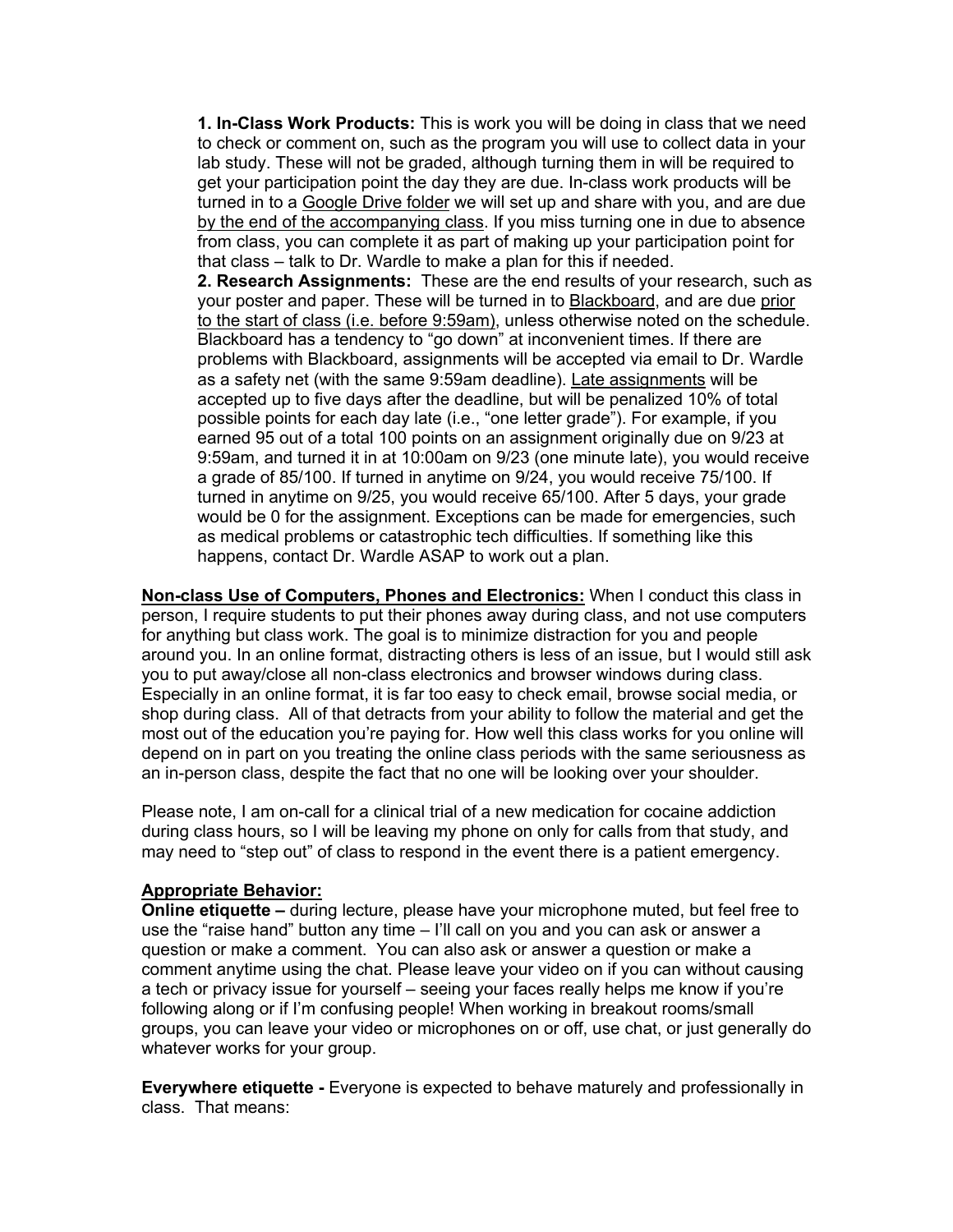**1. In-Class Work Products:** This is work you will be doing in class that we need to check or comment on, such as the program you will use to collect data in your lab study. These will not be graded, although turning them in will be required to get your participation point the day they are due. In-class work products will be turned in to a Google Drive folder we will set up and share with you, and are due by the end of the accompanying class. If you miss turning one in due to absence from class, you can complete it as part of making up your participation point for that class – talk to Dr. Wardle to make a plan for this if needed.

**2. Research Assignments:** These are the end results of your research, such as your poster and paper. These will be turned in to Blackboard, and are due prior to the start of class (i.e. before 9:59am), unless otherwise noted on the schedule. Blackboard has a tendency to "go down" at inconvenient times. If there are problems with Blackboard, assignments will be accepted via email to Dr. Wardle as a safety net (with the same 9:59am deadline). Late assignments will be accepted up to five days after the deadline, but will be penalized 10% of total possible points for each day late (i.e., "one letter grade"). For example, if you earned 95 out of a total 100 points on an assignment originally due on 9/23 at 9:59am, and turned it in at 10:00am on 9/23 (one minute late), you would receive a grade of 85/100. If turned in anytime on 9/24, you would receive 75/100. If turned in anytime on 9/25, you would receive 65/100. After 5 days, your grade would be 0 for the assignment. Exceptions can be made for emergencies, such as medical problems or catastrophic tech difficulties. If something like this happens, contact Dr. Wardle ASAP to work out a plan.

**Non-class Use of Computers, Phones and Electronics:** When I conduct this class in person, I require students to put their phones away during class, and not use computers for anything but class work. The goal is to minimize distraction for you and people around you. In an online format, distracting others is less of an issue, but I would still ask you to put away/close all non-class electronics and browser windows during class. Especially in an online format, it is far too easy to check email, browse social media, or shop during class. All of that detracts from your ability to follow the material and get the most out of the education you're paying for. How well this class works for you online will depend on in part on you treating the online class periods with the same seriousness as an in-person class, despite the fact that no one will be looking over your shoulder.

Please note, I am on-call for a clinical trial of a new medication for cocaine addiction during class hours, so I will be leaving my phone on only for calls from that study, and may need to "step out" of class to respond in the event there is a patient emergency.

## **Appropriate Behavior:**

**Online etiquette –** during lecture, please have your microphone muted, but feel free to use the "raise hand" button any time – I'll call on you and you can ask or answer a question or make a comment. You can also ask or answer a question or make a comment anytime using the chat. Please leave your video on if you can without causing a tech or privacy issue for yourself – seeing your faces really helps me know if you're following along or if I'm confusing people! When working in breakout rooms/small groups, you can leave your video or microphones on or off, use chat, or just generally do whatever works for your group.

**Everywhere etiquette -** Everyone is expected to behave maturely and professionally in class. That means: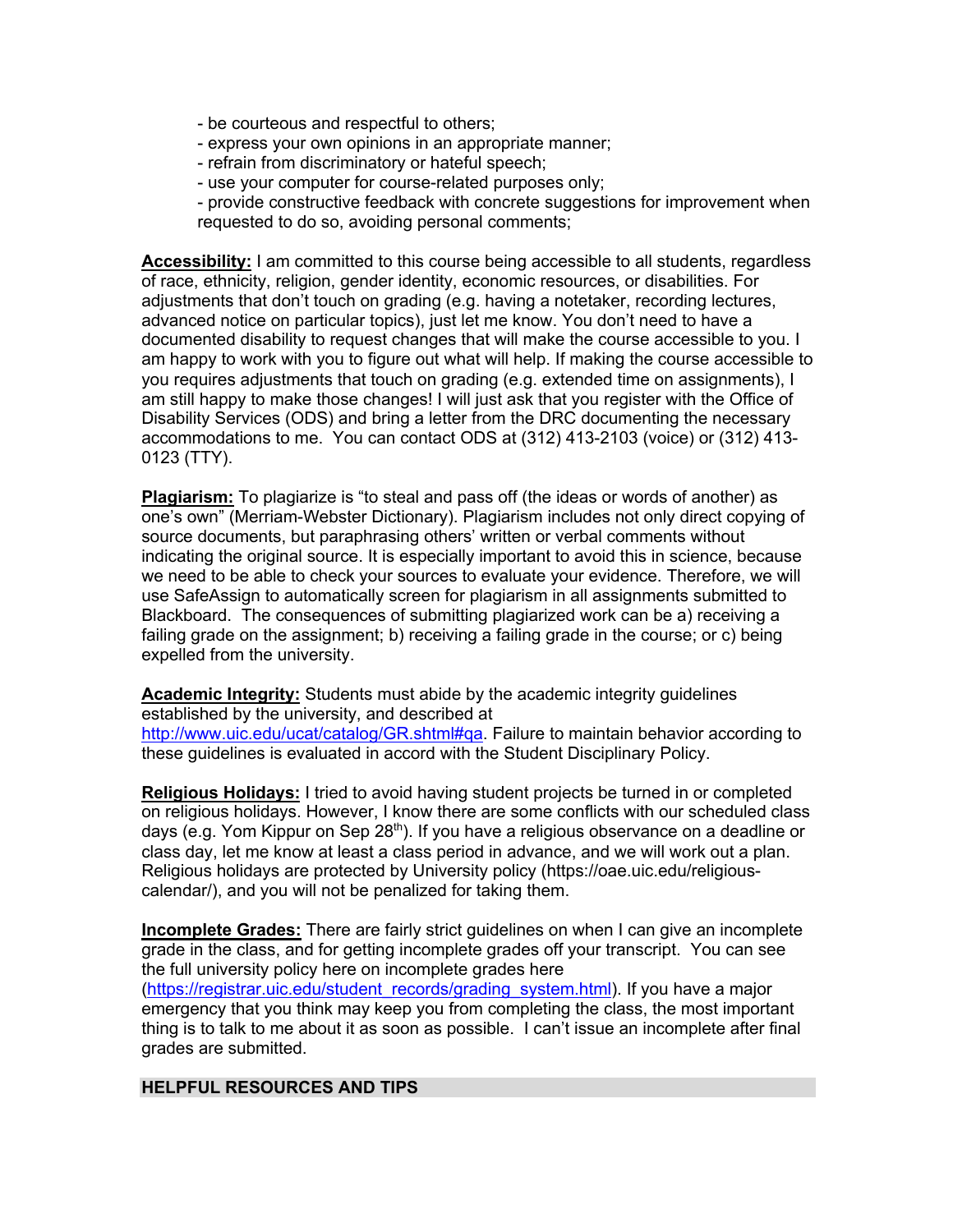- be courteous and respectful to others;
- express your own opinions in an appropriate manner;
- refrain from discriminatory or hateful speech;
- use your computer for course-related purposes only;
- provide constructive feedback with concrete suggestions for improvement when requested to do so, avoiding personal comments;

**Accessibility:** I am committed to this course being accessible to all students, regardless of race, ethnicity, religion, gender identity, economic resources, or disabilities. For adjustments that don't touch on grading (e.g. having a notetaker, recording lectures, advanced notice on particular topics), just let me know. You don't need to have a documented disability to request changes that will make the course accessible to you. I am happy to work with you to figure out what will help. If making the course accessible to you requires adjustments that touch on grading (e.g. extended time on assignments), I am still happy to make those changes! I will just ask that you register with the Office of Disability Services (ODS) and bring a letter from the DRC documenting the necessary accommodations to me. You can contact ODS at (312) 413-2103 (voice) or (312) 413- 0123 (TTY).

**Plagiarism:** To plagiarize is "to steal and pass off (the ideas or words of another) as one's own" (Merriam-Webster Dictionary). Plagiarism includes not only direct copying of source documents, but paraphrasing others' written or verbal comments without indicating the original source. It is especially important to avoid this in science, because we need to be able to check your sources to evaluate your evidence. Therefore, we will use SafeAssign to automatically screen for plagiarism in all assignments submitted to Blackboard. The consequences of submitting plagiarized work can be a) receiving a failing grade on the assignment; b) receiving a failing grade in the course; or c) being expelled from the university.

**Academic Integrity:** Students must abide by the academic integrity guidelines established by the university, and described at

http://www.uic.edu/ucat/catalog/GR.shtml#qa. Failure to maintain behavior according to these guidelines is evaluated in accord with the Student Disciplinary Policy.

**Religious Holidays:** I tried to avoid having student projects be turned in or completed on religious holidays. However, I know there are some conflicts with our scheduled class days (e.g. Yom Kippur on Sep 28<sup>th</sup>). If you have a religious observance on a deadline or class day, let me know at least a class period in advance, and we will work out a plan. Religious holidays are protected by University policy (https://oae.uic.edu/religiouscalendar/), and you will not be penalized for taking them.

**Incomplete Grades:** There are fairly strict guidelines on when I can give an incomplete grade in the class, and for getting incomplete grades off your transcript. You can see the full university policy here on incomplete grades here (https://registrar.uic.edu/student\_records/grading\_system.html). If you have a major emergency that you think may keep you from completing the class, the most important thing is to talk to me about it as soon as possible. I can't issue an incomplete after final grades are submitted.

## **HELPFUL RESOURCES AND TIPS**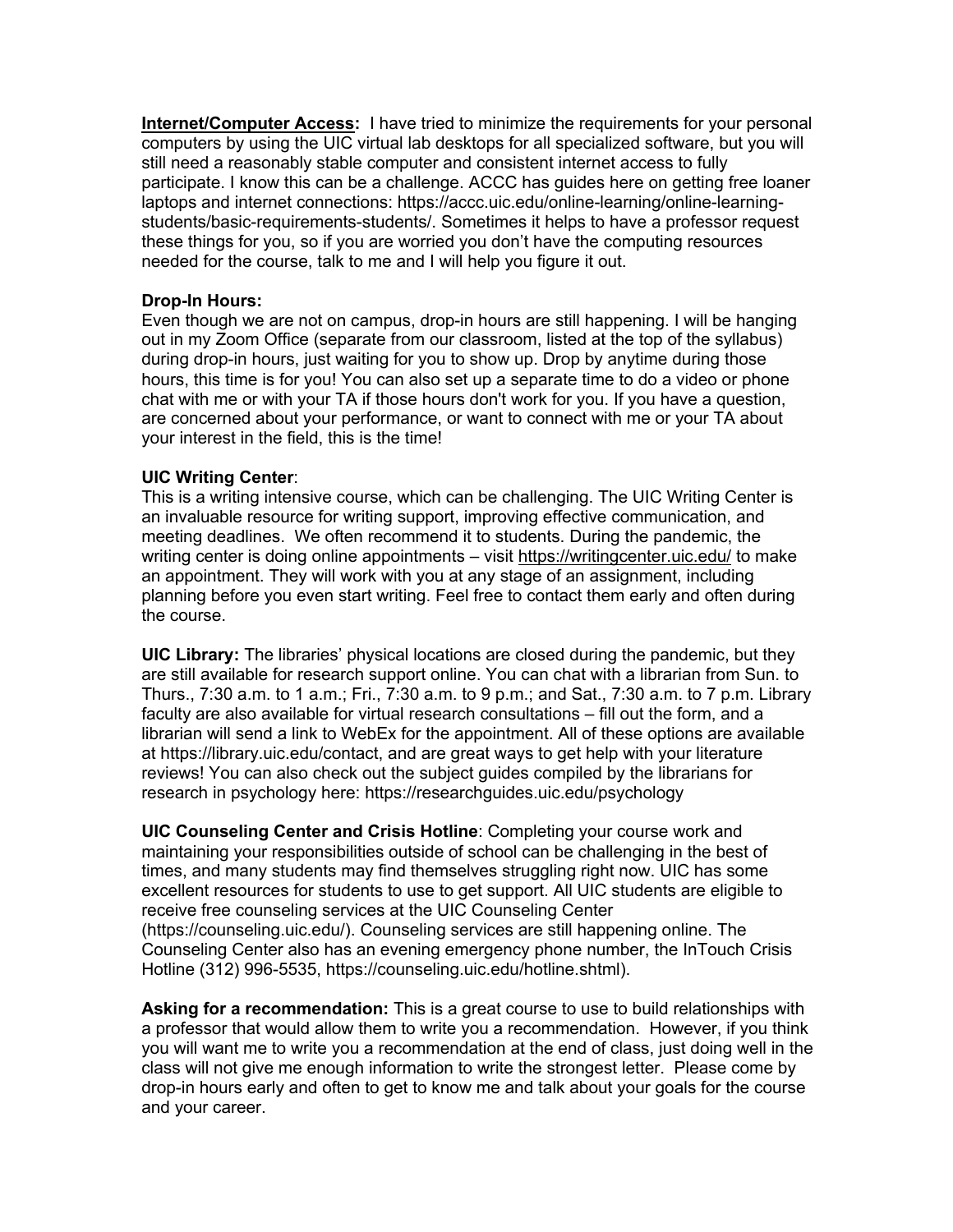**Internet/Computer Access:** I have tried to minimize the requirements for your personal computers by using the UIC virtual lab desktops for all specialized software, but you will still need a reasonably stable computer and consistent internet access to fully participate. I know this can be a challenge. ACCC has guides here on getting free loaner laptops and internet connections: https://accc.uic.edu/online-learning/online-learningstudents/basic-requirements-students/. Sometimes it helps to have a professor request these things for you, so if you are worried you don't have the computing resources needed for the course, talk to me and I will help you figure it out.

# **Drop-In Hours:**

Even though we are not on campus, drop-in hours are still happening. I will be hanging out in my Zoom Office (separate from our classroom, listed at the top of the syllabus) during drop-in hours, just waiting for you to show up. Drop by anytime during those hours, this time is for you! You can also set up a separate time to do a video or phone chat with me or with your TA if those hours don't work for you. If you have a question, are concerned about your performance, or want to connect with me or your TA about your interest in the field, this is the time!

# **UIC Writing Center**:

This is a writing intensive course, which can be challenging. The UIC Writing Center is an invaluable resource for writing support, improving effective communication, and meeting deadlines. We often recommend it to students. During the pandemic, the writing center is doing online appointments - visit https://writingcenter.uic.edu/ to make an appointment. They will work with you at any stage of an assignment, including planning before you even start writing. Feel free to contact them early and often during the course.

**UIC Library:** The libraries' physical locations are closed during the pandemic, but they are still available for research support online. You can chat with a librarian from Sun. to Thurs., 7:30 a.m. to 1 a.m.; Fri., 7:30 a.m. to 9 p.m.; and Sat., 7:30 a.m. to 7 p.m. Library faculty are also available for virtual research consultations – fill out the form, and a librarian will send a link to WebEx for the appointment. All of these options are available at https://library.uic.edu/contact, and are great ways to get help with your literature reviews! You can also check out the subject guides compiled by the librarians for research in psychology here: https://researchguides.uic.edu/psychology

**UIC Counseling Center and Crisis Hotline**: Completing your course work and maintaining your responsibilities outside of school can be challenging in the best of times, and many students may find themselves struggling right now. UIC has some excellent resources for students to use to get support. All UIC students are eligible to receive free counseling services at the UIC Counseling Center (https://counseling.uic.edu/). Counseling services are still happening online. The Counseling Center also has an evening emergency phone number, the InTouch Crisis Hotline (312) 996-5535, https://counseling.uic.edu/hotline.shtml).

**Asking for a recommendation:** This is a great course to use to build relationships with a professor that would allow them to write you a recommendation. However, if you think you will want me to write you a recommendation at the end of class, just doing well in the class will not give me enough information to write the strongest letter. Please come by drop-in hours early and often to get to know me and talk about your goals for the course and your career.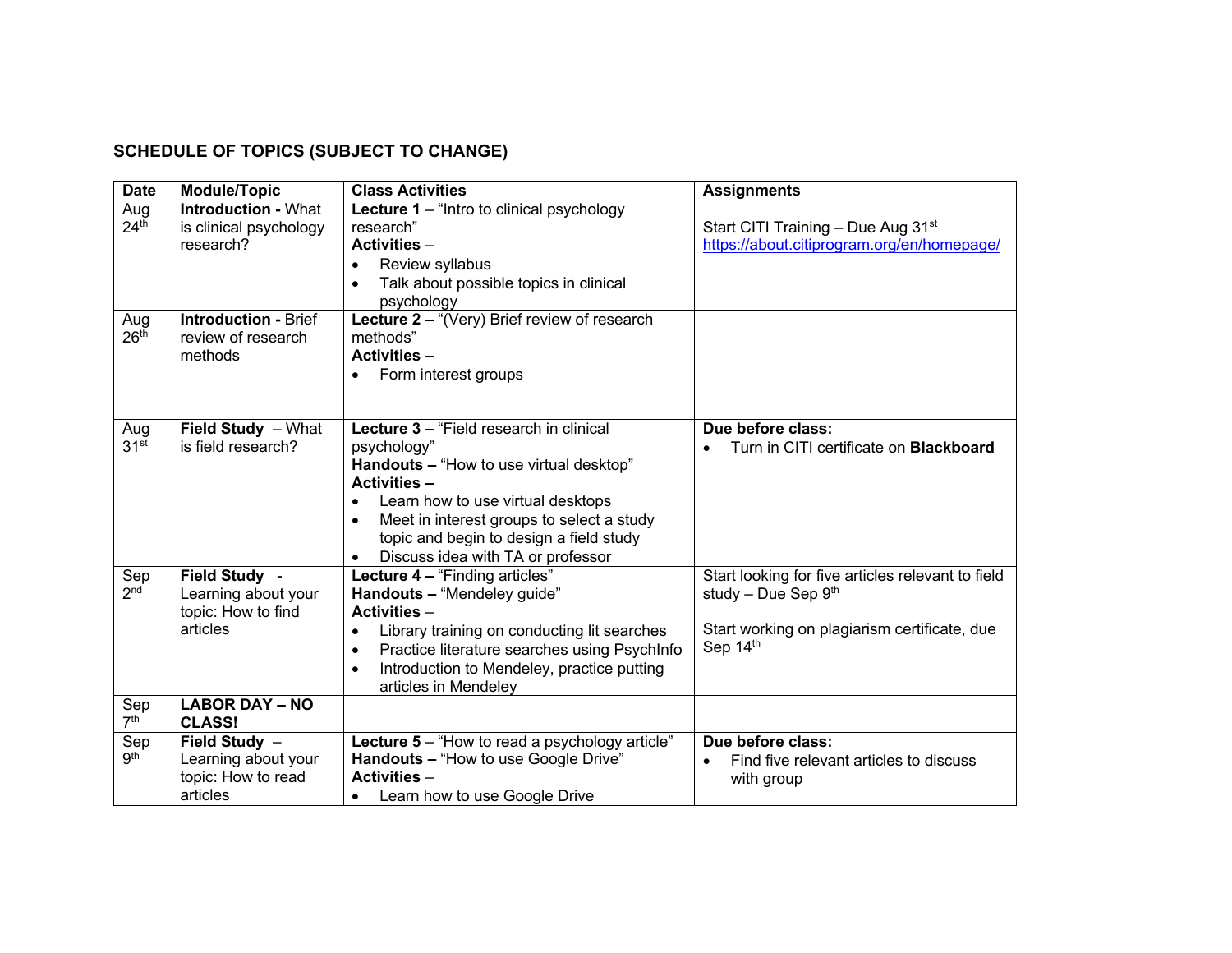# **SCHEDULE OF TOPICS (SUBJECT TO CHANGE)**

| <b>Date</b>             | <b>Module/Topic</b>                                                    | <b>Class Activities</b>                                                                                                                                                                                                                                                                                              | <b>Assignments</b>                                                                                                                     |
|-------------------------|------------------------------------------------------------------------|----------------------------------------------------------------------------------------------------------------------------------------------------------------------------------------------------------------------------------------------------------------------------------------------------------------------|----------------------------------------------------------------------------------------------------------------------------------------|
| Aug<br>24 <sup>th</sup> | <b>Introduction - What</b><br>is clinical psychology<br>research?      | <b>Lecture 1</b> – "Intro to clinical psychology<br>research"<br><b>Activities -</b><br>Review syllabus<br>Talk about possible topics in clinical<br>psychology                                                                                                                                                      | Start CITI Training - Due Aug 31 <sup>st</sup><br>https://about.citiprogram.org/en/homepage/                                           |
| Aug<br>26 <sup>th</sup> | <b>Introduction - Brief</b><br>review of research<br>methods           | Lecture 2 - "(Very) Brief review of research<br>methods"<br><b>Activities -</b><br>Form interest groups                                                                                                                                                                                                              |                                                                                                                                        |
| Aug<br>31 <sup>st</sup> | Field Study - What<br>is field research?                               | Lecture 3 - "Field research in clinical<br>psychology"<br>Handouts - "How to use virtual desktop"<br><b>Activities -</b><br>Learn how to use virtual desktops<br>$\bullet$<br>Meet in interest groups to select a study<br>$\bullet$<br>topic and begin to design a field study<br>Discuss idea with TA or professor | Due before class:<br>Turn in CITI certificate on <b>Blackboard</b>                                                                     |
| Sep<br>2 <sub>nd</sub>  | Field Study -<br>Learning about your<br>topic: How to find<br>articles | Lecture 4 - "Finding articles"<br>Handouts - "Mendeley guide"<br><b>Activities -</b><br>Library training on conducting lit searches<br>Practice literature searches using PsychInfo<br>$\bullet$<br>Introduction to Mendeley, practice putting<br>$\bullet$<br>articles in Mendeley                                  | Start looking for five articles relevant to field<br>study - Due Sep $9th$<br>Start working on plagiarism certificate, due<br>Sep 14th |
| Sep<br>7 <sup>th</sup>  | <b>LABOR DAY - NO</b><br><b>CLASS!</b>                                 |                                                                                                                                                                                                                                                                                                                      |                                                                                                                                        |
| Sep<br>9 <sup>th</sup>  | Field Study -<br>Learning about your<br>topic: How to read<br>articles | Lecture 5 - "How to read a psychology article"<br>Handouts - "How to use Google Drive"<br><b>Activities -</b><br>Learn how to use Google Drive<br>$\bullet$                                                                                                                                                          | Due before class:<br>Find five relevant articles to discuss<br>$\bullet$<br>with group                                                 |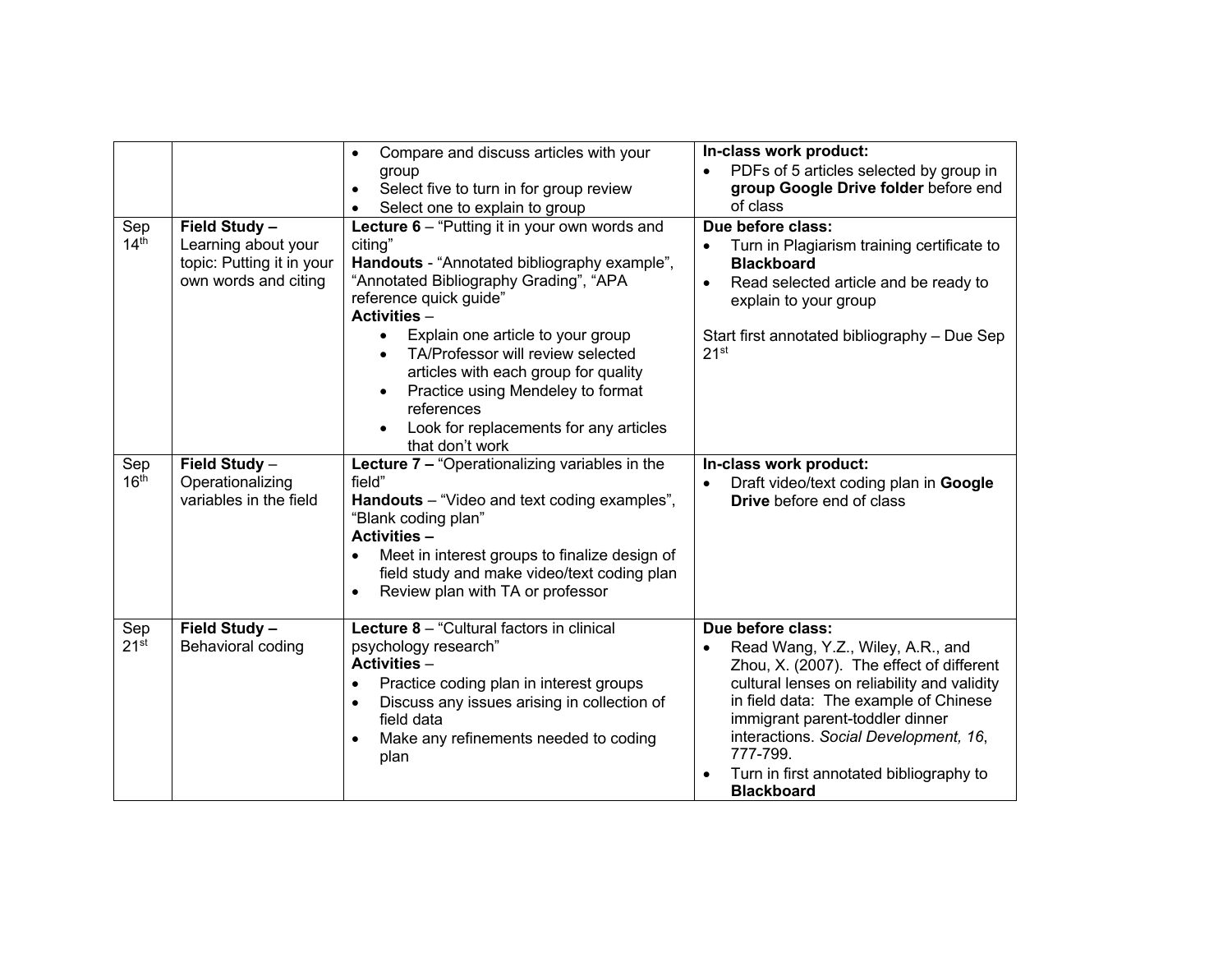|                         |                                                                                           | Compare and discuss articles with your<br>$\bullet$<br>group<br>Select five to turn in for group review<br>$\bullet$<br>Select one to explain to group                                                                                                                                                                                                                                                                                                                             | In-class work product:<br>PDFs of 5 articles selected by group in<br>group Google Drive folder before end<br>of class                                                                                                                                                                                                                                           |
|-------------------------|-------------------------------------------------------------------------------------------|------------------------------------------------------------------------------------------------------------------------------------------------------------------------------------------------------------------------------------------------------------------------------------------------------------------------------------------------------------------------------------------------------------------------------------------------------------------------------------|-----------------------------------------------------------------------------------------------------------------------------------------------------------------------------------------------------------------------------------------------------------------------------------------------------------------------------------------------------------------|
| Sep<br>14 <sup>th</sup> | Field Study -<br>Learning about your<br>topic: Putting it in your<br>own words and citing | Lecture 6 - "Putting it in your own words and<br>citing"<br>Handouts - "Annotated bibliography example",<br>"Annotated Bibliography Grading", "APA<br>reference quick guide"<br>Activities -<br>Explain one article to your group<br>$\bullet$<br>TA/Professor will review selected<br>$\bullet$<br>articles with each group for quality<br>Practice using Mendeley to format<br>$\bullet$<br>references<br>Look for replacements for any articles<br>$\bullet$<br>that don't work | Due before class:<br>Turn in Plagiarism training certificate to<br>$\bullet$<br><b>Blackboard</b><br>Read selected article and be ready to<br>$\bullet$<br>explain to your group<br>Start first annotated bibliography - Due Sep<br>21 <sup>st</sup>                                                                                                            |
| Sep<br>16 <sup>th</sup> | Field Study -<br>Operationalizing<br>variables in the field                               | Lecture 7 - "Operationalizing variables in the<br>field"<br>Handouts - "Video and text coding examples",<br>"Blank coding plan"<br><b>Activities -</b><br>Meet in interest groups to finalize design of<br>field study and make video/text coding plan<br>Review plan with TA or professor                                                                                                                                                                                         | In-class work product:<br>Draft video/text coding plan in Google<br>Drive before end of class                                                                                                                                                                                                                                                                   |
| Sep<br>21 <sup>st</sup> | Field Study -<br>Behavioral coding                                                        | Lecture 8 - "Cultural factors in clinical<br>psychology research"<br><b>Activities -</b><br>Practice coding plan in interest groups<br>$\bullet$<br>Discuss any issues arising in collection of<br>$\bullet$<br>field data<br>Make any refinements needed to coding<br>plan                                                                                                                                                                                                        | Due before class:<br>Read Wang, Y.Z., Wiley, A.R., and<br>$\bullet$<br>Zhou, X. (2007). The effect of different<br>cultural lenses on reliability and validity<br>in field data: The example of Chinese<br>immigrant parent-toddler dinner<br>interactions. Social Development, 16,<br>777-799.<br>Turn in first annotated bibliography to<br><b>Blackboard</b> |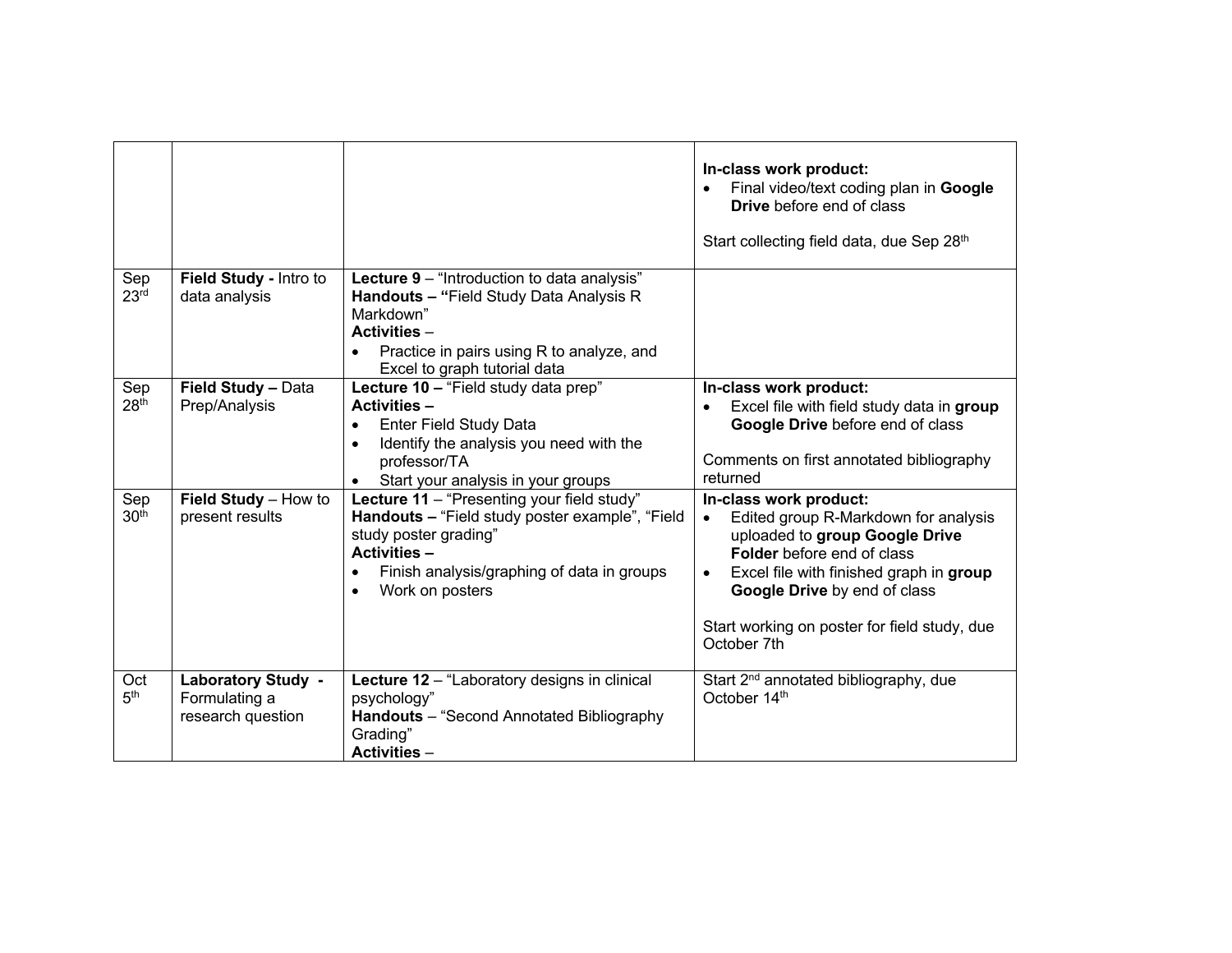|                         |                                                                 |                                                                                                                                                                                                                             | In-class work product:<br>Final video/text coding plan in Google<br><b>Drive</b> before end of class<br>Start collecting field data, due Sep 28th                                                                                                                                                  |
|-------------------------|-----------------------------------------------------------------|-----------------------------------------------------------------------------------------------------------------------------------------------------------------------------------------------------------------------------|----------------------------------------------------------------------------------------------------------------------------------------------------------------------------------------------------------------------------------------------------------------------------------------------------|
| Sep<br>23 <sup>rd</sup> | Field Study - Intro to<br>data analysis                         | Lecture 9 - "Introduction to data analysis"<br>Handouts - "Field Study Data Analysis R<br>Markdown"<br><b>Activities -</b><br>Practice in pairs using R to analyze, and<br>$\bullet$<br>Excel to graph tutorial data        |                                                                                                                                                                                                                                                                                                    |
| Sep<br>28 <sup>th</sup> | Field Study - Data<br>Prep/Analysis                             | Lecture 10 - "Field study data prep"<br><b>Activities -</b><br>Enter Field Study Data<br>$\bullet$<br>Identify the analysis you need with the<br>$\bullet$<br>professor/TA<br>Start your analysis in your groups            | In-class work product:<br>Excel file with field study data in group<br>Google Drive before end of class<br>Comments on first annotated bibliography<br>returned                                                                                                                                    |
| Sep<br>30 <sup>th</sup> | Field Study - How to<br>present results                         | Lecture 11 - "Presenting your field study"<br>Handouts - "Field study poster example", "Field<br>study poster grading"<br><b>Activities -</b><br>Finish analysis/graphing of data in groups<br>Work on posters<br>$\bullet$ | In-class work product:<br>Edited group R-Markdown for analysis<br>$\bullet$<br>uploaded to group Google Drive<br>Folder before end of class<br>Excel file with finished graph in group<br>$\bullet$<br>Google Drive by end of class<br>Start working on poster for field study, due<br>October 7th |
| Oct<br>5 <sup>th</sup>  | <b>Laboratory Study -</b><br>Formulating a<br>research question | Lecture 12 - "Laboratory designs in clinical<br>psychology"<br>Handouts - "Second Annotated Bibliography<br>Grading"<br><b>Activities -</b>                                                                                 | Start 2 <sup>nd</sup> annotated bibliography, due<br>October 14th                                                                                                                                                                                                                                  |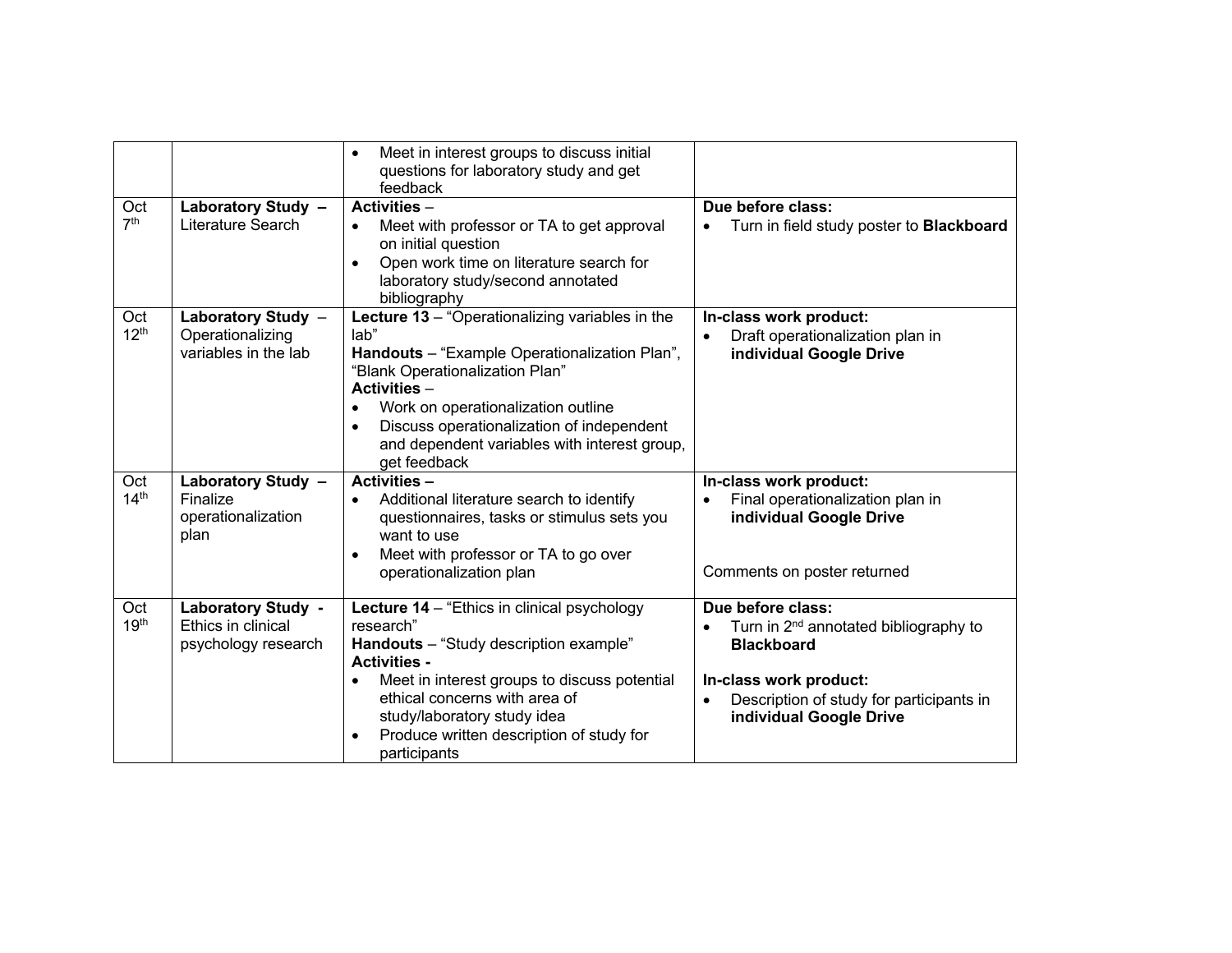|                         |                                                                        | Meet in interest groups to discuss initial<br>$\bullet$<br>questions for laboratory study and get<br>feedback                                                                                                                                                                                                                           |                                                                                                                                                                                              |
|-------------------------|------------------------------------------------------------------------|-----------------------------------------------------------------------------------------------------------------------------------------------------------------------------------------------------------------------------------------------------------------------------------------------------------------------------------------|----------------------------------------------------------------------------------------------------------------------------------------------------------------------------------------------|
| Oct<br>7 <sup>th</sup>  | Laboratory Study -<br>Literature Search                                | <b>Activities -</b><br>Meet with professor or TA to get approval<br>$\bullet$<br>on initial question<br>Open work time on literature search for<br>$\bullet$<br>laboratory study/second annotated<br>bibliography                                                                                                                       | Due before class:<br>Turn in field study poster to <b>Blackboard</b><br>$\bullet$                                                                                                            |
| Oct<br>12 <sup>th</sup> | Laboratory Study -<br>Operationalizing<br>variables in the lab         | Lecture 13 - "Operationalizing variables in the<br>lab"<br>Handouts - "Example Operationalization Plan",<br>"Blank Operationalization Plan"<br><b>Activities -</b><br>Work on operationalization outline<br>٠<br>Discuss operationalization of independent<br>$\bullet$<br>and dependent variables with interest group,<br>get feedback | In-class work product:<br>Draft operationalization plan in<br>individual Google Drive                                                                                                        |
| Oct<br>14 <sup>th</sup> | Laboratory Study -<br>Finalize<br>operationalization<br>plan           | <b>Activities -</b><br>Additional literature search to identify<br>$\bullet$<br>questionnaires, tasks or stimulus sets you<br>want to use<br>Meet with professor or TA to go over<br>$\bullet$<br>operationalization plan                                                                                                               | In-class work product:<br>Final operationalization plan in<br>individual Google Drive<br>Comments on poster returned                                                                         |
| Oct<br>19 <sup>th</sup> | <b>Laboratory Study -</b><br>Ethics in clinical<br>psychology research | <b>Lecture 14</b> – "Ethics in clinical psychology<br>research"<br>Handouts - "Study description example"<br><b>Activities -</b><br>Meet in interest groups to discuss potential<br>ethical concerns with area of<br>study/laboratory study idea<br>Produce written description of study for<br>٠<br>participants                       | Due before class:<br>Turn in 2 <sup>nd</sup> annotated bibliography to<br><b>Blackboard</b><br>In-class work product:<br>Description of study for participants in<br>individual Google Drive |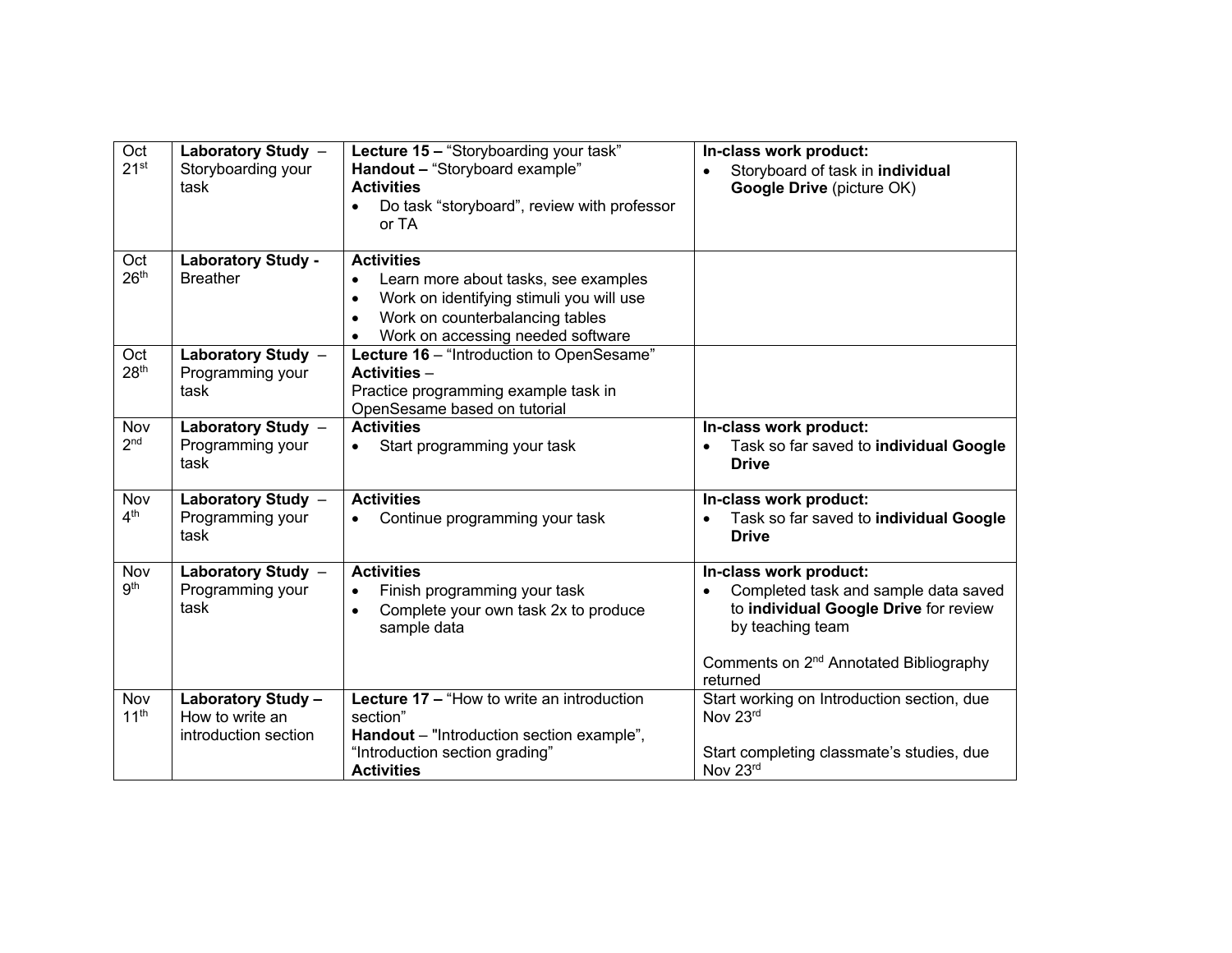| Oct<br>21 <sup>st</sup> | Laboratory Study -<br>Storyboarding your<br>task              | Lecture 15 - "Storyboarding your task"<br>Handout - "Storyboard example"<br><b>Activities</b><br>Do task "storyboard", review with professor<br>or TA                                                                | In-class work product:<br>Storyboard of task in individual<br>Google Drive (picture OK)                                                                                                       |
|-------------------------|---------------------------------------------------------------|----------------------------------------------------------------------------------------------------------------------------------------------------------------------------------------------------------------------|-----------------------------------------------------------------------------------------------------------------------------------------------------------------------------------------------|
| Oct<br>26 <sup>th</sup> | <b>Laboratory Study -</b><br><b>Breather</b>                  | <b>Activities</b><br>Learn more about tasks, see examples<br>$\bullet$<br>Work on identifying stimuli you will use<br>$\bullet$<br>Work on counterbalancing tables<br>$\bullet$<br>Work on accessing needed software |                                                                                                                                                                                               |
| Oct<br>28 <sup>th</sup> | Laboratory Study -<br>Programming your<br>task                | Lecture 16 - "Introduction to OpenSesame"<br><b>Activities -</b><br>Practice programming example task in<br>OpenSesame based on tutorial                                                                             |                                                                                                                                                                                               |
| Nov<br>2 <sub>nd</sub>  | Laboratory Study $-$<br>Programming your<br>task              | <b>Activities</b><br>Start programming your task<br>$\bullet$                                                                                                                                                        | In-class work product:<br>Task so far saved to individual Google<br><b>Drive</b>                                                                                                              |
| Nov<br>4 <sup>th</sup>  | Laboratory Study -<br>Programming your<br>task                | <b>Activities</b><br>Continue programming your task<br>$\bullet$                                                                                                                                                     | In-class work product:<br>Task so far saved to individual Google<br><b>Drive</b>                                                                                                              |
| Nov<br>9 <sup>th</sup>  | Laboratory Study -<br>Programming your<br>task                | <b>Activities</b><br>Finish programming your task<br>$\bullet$<br>Complete your own task 2x to produce<br>$\bullet$<br>sample data                                                                                   | In-class work product:<br>Completed task and sample data saved<br>to individual Google Drive for review<br>by teaching team<br>Comments on 2 <sup>nd</sup> Annotated Bibliography<br>returned |
| Nov<br>11 <sup>th</sup> | Laboratory Study -<br>How to write an<br>introduction section | Lecture 17 - "How to write an introduction<br>section"<br>Handout - "Introduction section example",<br>"Introduction section grading"<br><b>Activities</b>                                                           | Start working on Introduction section, due<br>Nov 23rd<br>Start completing classmate's studies, due<br>Nov 23rd                                                                               |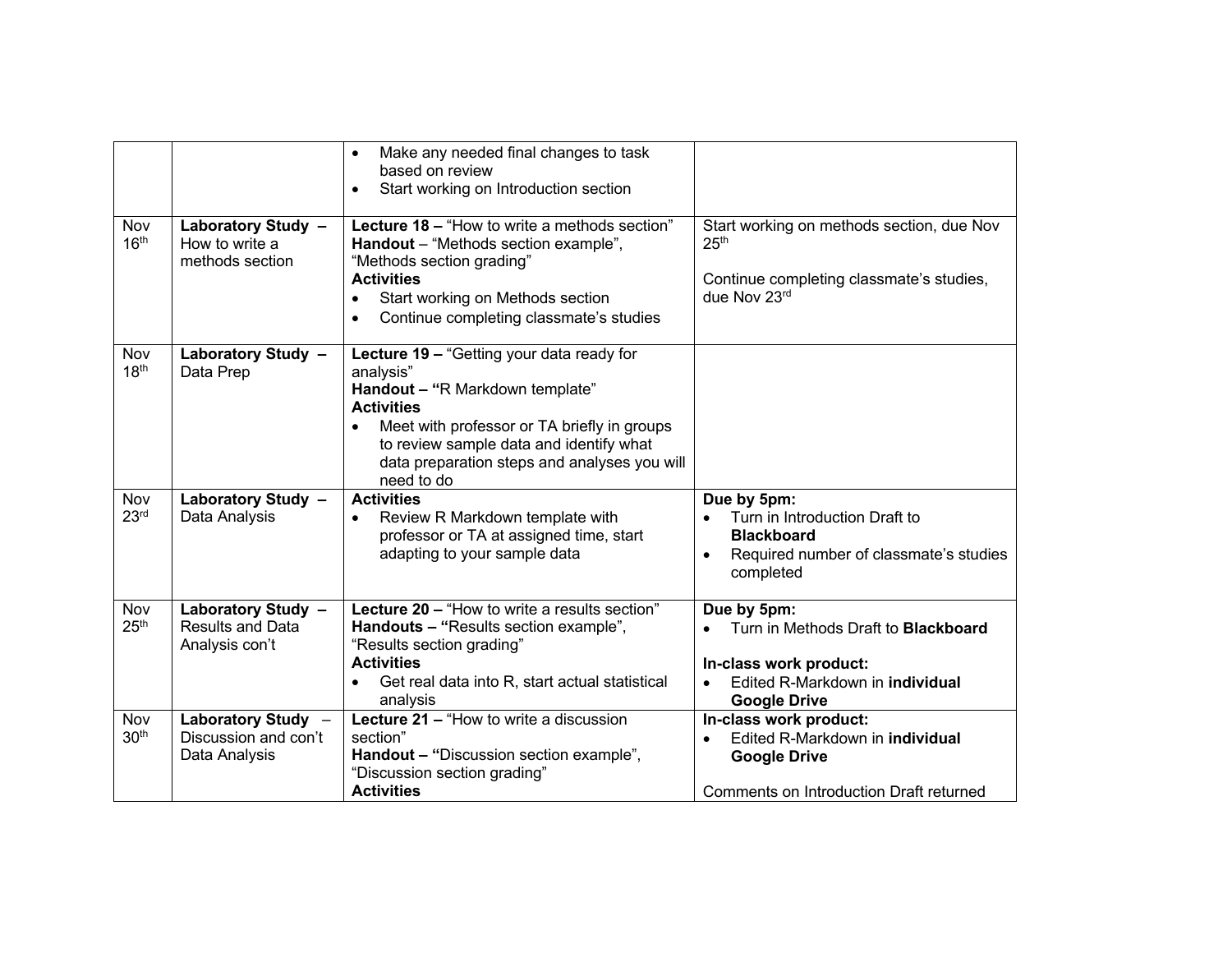| Nov<br>16 <sup>th</sup> | Laboratory Study -<br>How to write a<br>methods section         | Make any needed final changes to task<br>$\bullet$<br>based on review<br>Start working on Introduction section<br>$\bullet$<br>Lecture 18 – "How to write a methods section"<br>Handout - "Methods section example",<br>"Methods section grading"<br><b>Activities</b><br>Start working on Methods section<br>$\bullet$                     | Start working on methods section, due Nov<br>25 <sup>th</sup><br>Continue completing classmate's studies,<br>due Nov 23rd                                                      |
|-------------------------|-----------------------------------------------------------------|---------------------------------------------------------------------------------------------------------------------------------------------------------------------------------------------------------------------------------------------------------------------------------------------------------------------------------------------|--------------------------------------------------------------------------------------------------------------------------------------------------------------------------------|
| Nov<br>18 <sup>th</sup> | Laboratory Study -<br>Data Prep                                 | Continue completing classmate's studies<br>$\bullet$<br>Lecture 19 - "Getting your data ready for<br>analysis"<br>Handout - "R Markdown template"<br><b>Activities</b><br>Meet with professor or TA briefly in groups<br>$\bullet$<br>to review sample data and identify what<br>data preparation steps and analyses you will<br>need to do |                                                                                                                                                                                |
| Nov<br>23 <sup>rd</sup> | Laboratory Study -<br>Data Analysis                             | <b>Activities</b><br>Review R Markdown template with<br>$\bullet$<br>professor or TA at assigned time, start<br>adapting to your sample data                                                                                                                                                                                                | Due by 5pm:<br>Turn in Introduction Draft to<br><b>Blackboard</b><br>Required number of classmate's studies<br>completed                                                       |
| Nov<br>25 <sup>th</sup> | Laboratory Study -<br><b>Results and Data</b><br>Analysis con't | Lecture 20 - "How to write a results section"<br>Handouts - "Results section example",<br>"Results section grading"<br><b>Activities</b><br>Get real data into R, start actual statistical<br>$\bullet$<br>analysis                                                                                                                         | Due by 5pm:<br>Turn in Methods Draft to <b>Blackboard</b><br>$\bullet$<br>In-class work product:<br>Edited R-Markdown in <b>individual</b><br>$\bullet$<br><b>Google Drive</b> |
| Nov<br>30 <sup>th</sup> | Laboratory Study -<br>Discussion and con't<br>Data Analysis     | Lecture 21 - "How to write a discussion<br>section"<br>Handout - "Discussion section example",<br>"Discussion section grading"<br><b>Activities</b>                                                                                                                                                                                         | In-class work product:<br>Edited R-Markdown in individual<br>$\bullet$<br><b>Google Drive</b><br>Comments on Introduction Draft returned                                       |